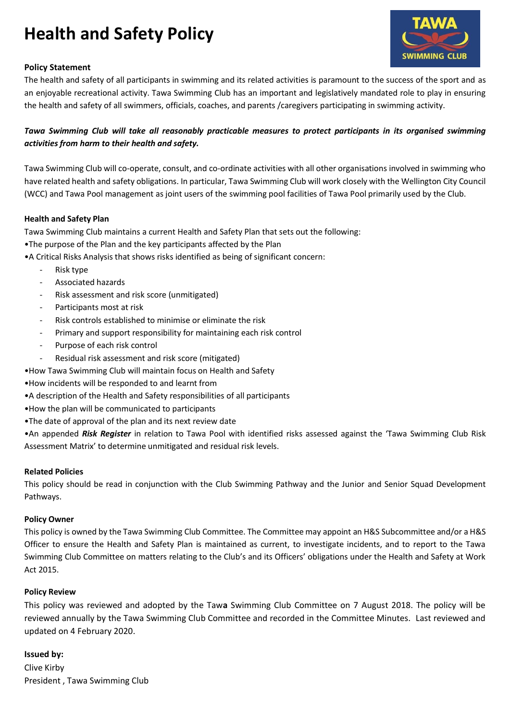# **Health and Safety Policy**



# **Policy Statement**

The health and safety of all participants in swimming and its related activities is paramount to the success of the sport and as an enjoyable recreational activity. Tawa Swimming Club has an important and legislatively mandated role to play in ensuring the health and safety of all swimmers, officials, coaches, and parents /caregivers participating in swimming activity.

# *Tawa Swimming Club will take all reasonably practicable measures to protect participants in its organised swimming activities from harm to their health and safety.*

Tawa Swimming Club will co-operate, consult, and co-ordinate activities with all other organisations involved in swimming who have related health and safety obligations. In particular, Tawa Swimming Club will work closely with the Wellington City Council (WCC) and Tawa Pool management as joint users of the swimming pool facilities of Tawa Pool primarily used by the Club.

# **Health and Safety Plan**

Tawa Swimming Club maintains a current Health and Safety Plan that sets out the following:

- •The purpose of the Plan and the key participants affected by the Plan
- •A Critical Risks Analysis that shows risks identified as being of significant concern:
	- Risk type
	- Associated hazards
	- Risk assessment and risk score (unmitigated)
	- Participants most at risk
	- Risk controls established to minimise or eliminate the risk
	- Primary and support responsibility for maintaining each risk control
	- Purpose of each risk control
	- Residual risk assessment and risk score (mitigated)
- •How Tawa Swimming Club will maintain focus on Health and Safety
- •How incidents will be responded to and learnt from
- •A description of the Health and Safety responsibilities of all participants
- •How the plan will be communicated to participants
- •The date of approval of the plan and its next review date

•An appended *Risk Register* in relation to Tawa Pool with identified risks assessed against the 'Tawa Swimming Club Risk Assessment Matrix' to determine unmitigated and residual risk levels.

## **Related Policies**

This policy should be read in conjunction with the Club Swimming Pathway and the Junior and Senior Squad Development Pathways.

## **Policy Owner**

This policy is owned by the Tawa Swimming Club Committee. The Committee may appoint an H&S Subcommittee and/or a H&S Officer to ensure the Health and Safety Plan is maintained as current, to investigate incidents, and to report to the Tawa Swimming Club Committee on matters relating to the Club's and its Officers' obligations under the Health and Safety at Work Act 2015.

## **Policy Review**

This policy was reviewed and adopted by the Taw**a** Swimming Club Committee on 7 August 2018. The policy will be reviewed annually by the Tawa Swimming Club Committee and recorded in the Committee Minutes. Last reviewed and updated on 4 February 2020.

## **Issued by:**

Clive Kirby President , Tawa Swimming Club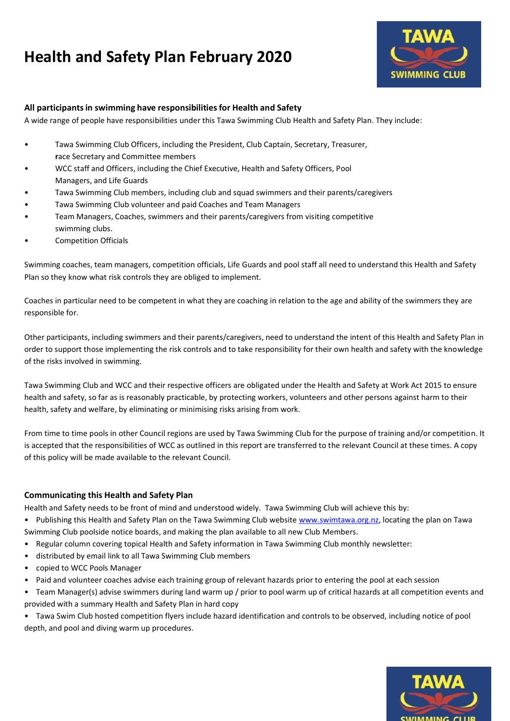# **Health and Safety Plan February 2020**



# **All participantsin swimming have responsibilitiesfor Health and Safety**

A wide range of people have responsibilities under this Tawa Swimming Club Health and Safety Plan. They include:

- Tawa Swimming Club Officers, including the President, Club Captain, Secretary, Treasurer, **r**ace Secretary and Committee members
- WCC staff and Officers, including the Chief Executive, Health and Safety Officers, Pool Managers, and Life Guards
- Tawa Swimming Club members, including club and squad swimmers and their parents/caregivers
- Tawa Swimming Club volunteer and paid Coaches and Team Managers
- Team Managers, Coaches, swimmers and their parents/caregivers from visiting competitive swimming clubs.
- Competition Officials

Swimming coaches, team managers, competition officials, Life Guards and pool staff all need to understand this Health and Safety Plan so they know what risk controls they are obliged to implement.

Coaches in particular need to be competent in what they are coaching in relation to the age and ability of the swimmers they are responsible for.

Other participants, including swimmers and their parents/caregivers, need to understand the intent of this Health and Safety Plan in order to support those implementing the risk controls and to take responsibility for their own health and safety with the knowledge of the risks involved in swimming.

Tawa Swimming Club and WCC and their respective officers are obligated under the Health and Safety at Work Act 2015 to ensure health and safety, so far as is reasonably practicable, by protecting workers, volunteers and other persons against harm to their health, safety and welfare, by eliminating or minimising risks arising from work.

From time to time pools in other Council regions are used by Tawa Swimming Club for the purpose of training and/or competition. It is accepted that the responsibilities of WCC as outlined in this report are transferred to the relevant Council at these times. A copy of this policy will be made available to the relevant Council.

# **Communicating this Health and Safety Plan**

Health and Safety needs to be front of mind and understood widely. Tawa Swimming Club will achieve this by:

- Publishing this Health and Safety Plan on the Tawa Swimming Club website [www.swimtawa.org.nz,](http://www.swimtawa.org.nz/) locating the plan on Tawa Swimming Club poolside notice boards, and making the plan available to all new Club Members.
- Regular column covering topical Health and Safety information in Tawa Swimming Club monthly newsletter:
- distributed by email link to all Tawa Swimming Club members
- copied to WCC Pools Manager
- Paid and volunteer coaches advise each training group of relevant hazards prior to entering the pool at each session
- Team Manager(s) advise swimmers during land warm up / prior to pool warm up of critical hazards at all competition events and provided with a summary Health and Safety Plan in hard copy
- Tawa Swim Club hosted competition flyers include hazard identification and controls to be observed, including notice of pool depth, and pool and diving warm up procedures.

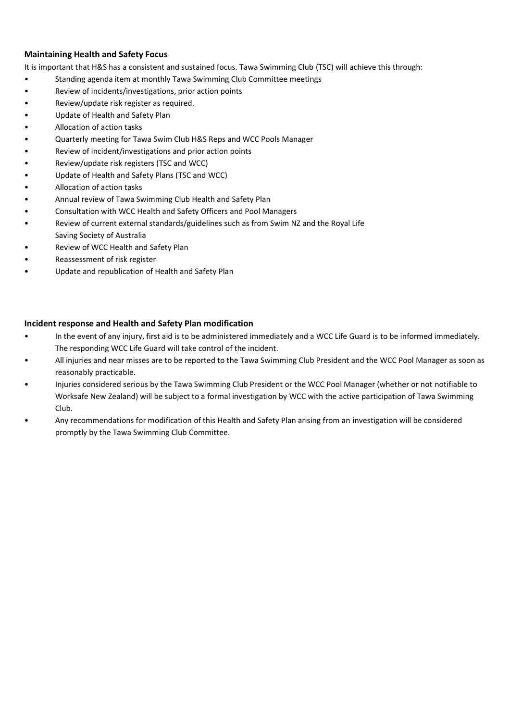# **Maintaining Health and Safety Focus**

It is important that H&S has a consistent and sustained focus. Tawa Swimming Club (TSC) will achieve this through:

- Standing agenda item at monthly Tawa Swimming Club Committee meetings
- Review of incidents/investigations, prior action points
- Review/update risk register as required.
- Update of Health and Safety Plan
- Allocation of action tasks
- Quarterly meeting for Tawa Swim Club H&S Reps and WCC Pools Manager
- Review of incident/investigations and prior action points
- Review/update risk registers (TSC and WCC)
- Update of Health and Safety Plans (TSC and WCC)
- Allocation of action tasks
- Annual review of Tawa Swimming Club Health and Safety Plan
- Consultation with WCC Health and Safety Officers and Pool Managers
- Review of current external standards/guidelines such as from Swim NZ and the Royal Life Saving Society of Australia
- Review of WCC Health and Safety Plan
- Reassessment of risk register
- Update and republication of Health and Safety Plan

## **Incident response and Health and Safety Plan modification**

- In the event of any injury, first aid is to be administered immediately and a WCC Life Guard is to be informed immediately. The responding WCC Life Guard will take control of the incident.
- All injuries and near misses are to be reported to the Tawa Swimming Club President and the WCC Pool Manager as soon as reasonably practicable.
- Injuries considered serious by the Tawa Swimming Club President or the WCC Pool Manager (whether or not notifiable to Worksafe New Zealand) will be subject to a formal investigation by WCC with the active participation of Tawa Swimming Club.
- Any recommendations for modification of this Health and Safety Plan arising from an investigation will be considered promptly by the Tawa Swimming Club Committee.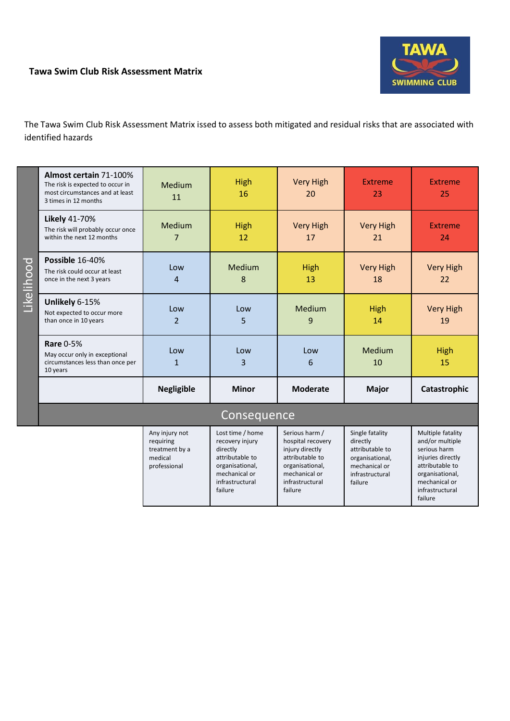# **Tawa Swim Club Risk Assessment Matrix**



infrastructural failure

The Tawa Swim Club Risk Assessment Matrix issed to assess both mitigated and residual risks that are associated with identified hazards

| Likelihood | Almost certain 71-100%<br>The risk is expected to occur in<br>most circumstances and at least<br>3 times in 12 months | Medium<br>11                                                             | <b>High</b><br>16                                                                                                         | <b>Very High</b><br>20                                                                                                           | Extreme<br>23                                                                                                    | <b>Extreme</b><br>25                                                                                                             |  |
|------------|-----------------------------------------------------------------------------------------------------------------------|--------------------------------------------------------------------------|---------------------------------------------------------------------------------------------------------------------------|----------------------------------------------------------------------------------------------------------------------------------|------------------------------------------------------------------------------------------------------------------|----------------------------------------------------------------------------------------------------------------------------------|--|
|            | Likely 41-70%<br>The risk will probably occur once<br>within the next 12 months                                       | Medium<br>7                                                              | <b>High</b><br>12                                                                                                         | <b>Very High</b><br>17                                                                                                           | <b>Very High</b><br>21                                                                                           | <b>Extreme</b><br>24                                                                                                             |  |
|            | Possible 16-40%<br>The risk could occur at least<br>once in the next 3 years                                          | Low<br>4                                                                 | Medium<br>8                                                                                                               | High<br>13                                                                                                                       | <b>Very High</b><br>18                                                                                           | <b>Very High</b><br>22                                                                                                           |  |
|            | Unlikely 6-15%<br>Not expected to occur more<br>than once in 10 years                                                 | Low<br>$\overline{2}$                                                    | Low<br>5                                                                                                                  | Medium<br>9                                                                                                                      | High<br>14                                                                                                       | <b>Very High</b><br>19                                                                                                           |  |
|            | <b>Rare 0-5%</b><br>May occur only in exceptional<br>circumstances less than once per<br>10 years                     | Low<br>$\mathbf{1}$                                                      | Low<br>3                                                                                                                  | Low<br>6                                                                                                                         | Medium<br>10                                                                                                     | High<br>15                                                                                                                       |  |
|            |                                                                                                                       | <b>Negligible</b>                                                        | <b>Minor</b>                                                                                                              | <b>Moderate</b>                                                                                                                  | <b>Major</b>                                                                                                     | Catastrophic                                                                                                                     |  |
|            | Consequence                                                                                                           |                                                                          |                                                                                                                           |                                                                                                                                  |                                                                                                                  |                                                                                                                                  |  |
|            |                                                                                                                       | Any injury not<br>requiring<br>treatment by a<br>medical<br>professional | Lost time / home<br>recovery injury<br>directly<br>attributable to<br>organisational,<br>mechanical or<br>infrastructural | Serious harm /<br>hospital recovery<br>injury directly<br>attributable to<br>organisational,<br>mechanical or<br>infrastructural | Single fatality<br>directly<br>attributable to<br>organisational,<br>mechanical or<br>infrastructural<br>failure | Multiple fatality<br>and/or multiple<br>serious harm<br>injuries directly<br>attributable to<br>organisational,<br>mechanical or |  |

failure

failure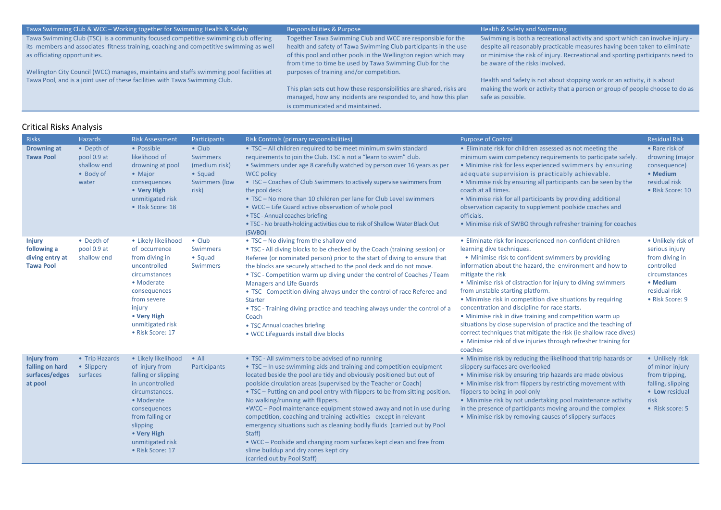#### Tawa Swimming Club & WCC – Working together for Swimming Health & Safety Responsibilities & Purpose

Tawa Swimming Club (TSC) is a community focused competitive swimming club offering its members and associates fitness training, coaching and competitive swimming as well as officiating opportunities.

Wellington City Council (WCC) manages, maintains and staffs swimming pool facilities at Tawa Pool, and is a joint user of these facilities with Tawa Swimming Club.

Together Tawa Swimming Club and WCC are responsible for the health and safety of Tawa Swimming Club participants in the use of this pool and other pools in the Wellington region which may from time to time be used by Tawa Swimming Club for the purposes of training and/or competition.

This plan sets out how these responsibilities are shared, risks are managed, how any incidents are responded to, and how this plan is communicated and maintained.

Swimming is both a recreational activity and sport which can involve injury despite all reasonably practicable measures having been taken to eliminate or minimise the risk of injury. Recreational and sporting participants need to be aware of the risks involved.

Health and Safety is not about stopping work or an activity, it is about making the work or activity that a person or group of people choose to do as safe as possible.

#### Critical Risks Analysis

| <b>Risks</b>                                                        | Hazards                                                        | <b>Risk Assessment</b>                                                                                                                                                                                                | Participants                                                                            | Risk Controls (primary responsibilities)                                                                                                                                                                                                                                                                                                                                                                                                                                                                                                                                                                                                                                                                                                                                  | <b>Purpose of Control</b>                                                                                                                                                                                                                                                                                                                                                                                                                                                                                                                                                                                                                                                                                                           | <b>Residual Risk</b>                                                                                                                  |
|---------------------------------------------------------------------|----------------------------------------------------------------|-----------------------------------------------------------------------------------------------------------------------------------------------------------------------------------------------------------------------|-----------------------------------------------------------------------------------------|---------------------------------------------------------------------------------------------------------------------------------------------------------------------------------------------------------------------------------------------------------------------------------------------------------------------------------------------------------------------------------------------------------------------------------------------------------------------------------------------------------------------------------------------------------------------------------------------------------------------------------------------------------------------------------------------------------------------------------------------------------------------------|-------------------------------------------------------------------------------------------------------------------------------------------------------------------------------------------------------------------------------------------------------------------------------------------------------------------------------------------------------------------------------------------------------------------------------------------------------------------------------------------------------------------------------------------------------------------------------------------------------------------------------------------------------------------------------------------------------------------------------------|---------------------------------------------------------------------------------------------------------------------------------------|
| <b>Drowning at</b><br><b>Tawa Pool</b>                              | • Depth of<br>pool 0.9 at<br>shallow end<br>• Body of<br>water | • Possible<br>likelihood of<br>drowning at pool<br>• Major<br>consequences<br>• Very High<br>unmitigated risk<br>• Risk Score: 18                                                                                     | $\bullet$ Club<br>Swimmers<br>(medium risk)<br>• Squad<br><b>Swimmers (low</b><br>risk) | • TSC - All children required to be meet minimum swim standard<br>requirements to join the Club. TSC is not a "learn to swim" club.<br>• Swimmers under age 8 carefully watched by person over 16 years as per<br><b>WCC policy</b><br>• TSC – Coaches of Club Swimmers to actively supervise swimmers from<br>the pool deck<br>• TSC - No more than 10 children per lane for Club Level swimmers<br>• WCC - Life Guard active observation of whole pool<br>• TSC - Annual coaches briefing<br>. TSC - No breath-holding activities due to risk of Shallow Water Black Out<br>(SWBO)                                                                                                                                                                                      | • Eliminate risk for children assessed as not meeting the<br>minimum swim competency requirements to participate safely.<br>• Minimise risk for less experienced swimmers by ensuring<br>adequate supervision is practicably achievable.<br>• Minimise risk by ensuring all participants can be seen by the<br>coach at all times.<br>• Minimise risk for all participants by providing additional<br>observation capacity to supplement poolside coaches and<br>officials.<br>• Minimise risk of SWBO through refresher training for coaches                                                                                                                                                                                       | • Rare risk of<br>drowning (major<br>consequence)<br>• Medium<br>residual risk<br>• Risk Score: 10                                    |
| <b>Injury</b><br>following a<br>diving entry at<br><b>Tawa Pool</b> | • Depth of<br>pool 0.9 at<br>shallow end                       | • Likely likelihood<br>of occurrence<br>from diving in<br>uncontrolled<br>circumstances<br>• Moderate<br>consequences<br>from severe<br>injury<br>• Very High<br>unmitigated risk<br>• Risk Score: 17                 | $\bullet$ Club<br>Swimmers<br>• Squad<br><b>Swimmers</b>                                | • TSC - No diving from the shallow end<br>• TSC - All diving blocks to be checked by the Coach (training session) or<br>Referee (or nominated person) prior to the start of diving to ensure that<br>the blocks are securely attached to the pool deck and do not move.<br>. TSC - Competition warm up diving under the control of Coaches / Team<br><b>Managers and Life Guards</b><br>• TSC - Competition diving always under the control of race Referee and<br>Starter<br>. TSC - Training diving practice and teaching always under the control of a<br>Coach<br>• TSC Annual coaches briefing<br>. WCC Lifeguards install dive blocks                                                                                                                               | • Eliminate risk for inexperienced non-confident children<br>learning dive techniques.<br>• Minimise risk to confident swimmers by providing<br>information about the hazard, the environment and how to<br>mitigate the risk<br>• Minimise risk of distraction for injury to diving swimmers<br>from unstable starting platform.<br>• Minimise risk in competition dive situations by requiring<br>concentration and discipline for race starts.<br>• Minimise risk in dive training and competition warm up<br>situations by close supervision of practice and the teaching of<br>correct techniques that mitigate the risk (ie shallow race dives)<br>• Minimise risk of dive injuries through refresher training for<br>coaches | • Unlikely risk of<br>serious injury<br>from diving in<br>controlled<br>circumstances<br>• Medium<br>residual risk<br>• Risk Score: 9 |
| <b>Injury from</b><br>falling on hard<br>surfaces/edges<br>at pool  | • Trip Hazards<br>• Slippery<br>surfaces                       | • Likely likelihood<br>of injury from<br>falling or slipping<br>in uncontrolled<br>circumstances.<br>• Moderate<br>consequences<br>from falling or<br>slipping<br>• Very High<br>unmitigated risk<br>• Risk Score: 17 | $\bullet$ All<br>Participants                                                           | • TSC - All swimmers to be advised of no running<br>• TSC - In use swimming aids and training and competition equipment<br>located beside the pool are tidy and obviously positioned but out of<br>poolside circulation areas (supervised by the Teacher or Coach)<br>• TSC – Putting on and pool entry with flippers to be from sitting position.<br>No walking/running with flippers.<br>.WCC - Pool maintenance equipment stowed away and not in use during<br>competition, coaching and training activities - except in relevant<br>emergency situations such as cleaning bodily fluids (carried out by Pool<br>Staff)<br>. WCC - Poolside and changing room surfaces kept clean and free from<br>slime buildup and dry zones kept dry<br>(carried out by Pool Staff) | • Minimise risk by reducing the likelihood that trip hazards or<br>slippery surfaces are overlooked<br>• Minimise risk by ensuring trip hazards are made obvious<br>• Minimise risk from flippers by restricting movement with<br>flippers to being in pool only<br>• Minimise risk by not undertaking pool maintenance activity<br>in the presence of participants moving around the complex<br>• Minimise risk by removing causes of slippery surfaces                                                                                                                                                                                                                                                                            | • Unlikely risk<br>of minor injury<br>from tripping,<br>falling, slipping<br>• Low residual<br>risk<br>• Risk score: 5                |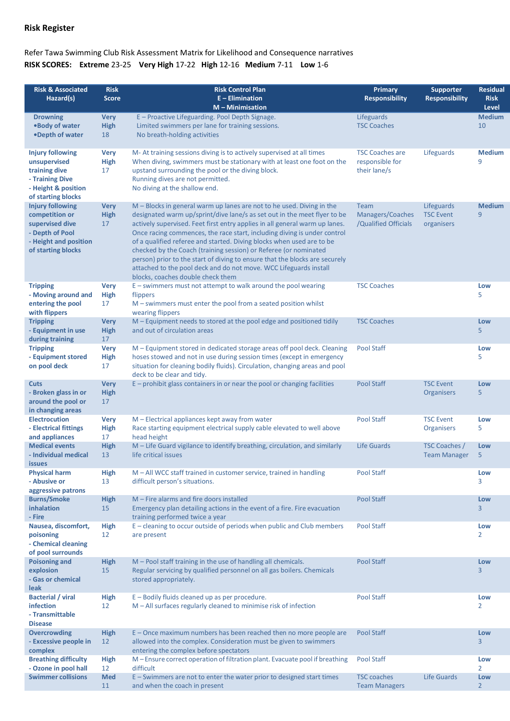# **Risk Register**

# Refer Tawa Swimming Club Risk Assessment Matrix for Likelihood and Consequence narratives **RISK SCORES: Extreme** 23-25 **Very High** 17-22 **High** 12-16 **Medium** 7-11 **Low** 1-6

| <b>Risk &amp; Associated</b><br>Hazard(s)                                                                                      | <b>Risk</b><br><b>Score</b>      | <b>Risk Control Plan</b><br>$E$ – Elimination<br>$M -$ Minimisation                                                                                                                                                                                                                                                                                                                                                                                                                                                                                                                                                                                | Primary<br><b>Responsibility</b>                          | <b>Supporter</b><br><b>Responsibility</b>    | <b>Residual</b><br><b>Risk</b><br><b>Level</b> |
|--------------------------------------------------------------------------------------------------------------------------------|----------------------------------|----------------------------------------------------------------------------------------------------------------------------------------------------------------------------------------------------------------------------------------------------------------------------------------------------------------------------------------------------------------------------------------------------------------------------------------------------------------------------------------------------------------------------------------------------------------------------------------------------------------------------------------------------|-----------------------------------------------------------|----------------------------------------------|------------------------------------------------|
| <b>Drowning</b><br>.Body of water<br>•Depth of water                                                                           | <b>Very</b><br><b>High</b><br>18 | E - Proactive Lifeguarding. Pool Depth Signage.<br>Limited swimmers per lane for training sessions.<br>No breath-holding activities                                                                                                                                                                                                                                                                                                                                                                                                                                                                                                                | Lifeguards<br><b>TSC Coaches</b>                          |                                              | <b>Medium</b><br>10                            |
| <b>Injury following</b><br>unsupervised<br>training dive<br>- Training Dive<br>- Height & position<br>of starting blocks       | <b>Very</b><br><b>High</b><br>17 | M-At training sessions diving is to actively supervised at all times<br>When diving, swimmers must be stationary with at least one foot on the<br>upstand surrounding the pool or the diving block.<br>Running dives are not permitted.<br>No diving at the shallow end.                                                                                                                                                                                                                                                                                                                                                                           | <b>TSC Coaches are</b><br>responsible for<br>their lane/s | Lifeguards                                   | <b>Medium</b><br>9                             |
| <b>Injury following</b><br>competition or<br>supervised dive<br>- Depth of Pool<br>- Height and position<br>of starting blocks | <b>Very</b><br><b>High</b><br>17 | M - Blocks in general warm up lanes are not to he used. Diving in the<br>designated warm up/sprint/dive lane/s as set out in the meet flyer to be<br>actively supervised. Feet first entry applies in all general warm up lanes.<br>Once racing commences, the race start, including diving is under control<br>of a qualified referee and started. Diving blocks when used are to be<br>checked by the Coach (training session) or Referee (or nominated<br>person) prior to the start of diving to ensure that the blocks are securely<br>attached to the pool deck and do not move. WCC Lifeguards install<br>blocks, coaches double check them | Team<br>Managers/Coaches<br>/Qualified Officials          | Lifeguards<br><b>TSC Event</b><br>organisers | <b>Medium</b><br>9                             |
| <b>Tripping</b><br>- Moving around and<br>entering the pool<br>with flippers                                                   | <b>Very</b><br>High<br>17        | E - swimmers must not attempt to walk around the pool wearing<br>flippers<br>$M$ – swimmers must enter the pool from a seated position whilst<br>wearing flippers                                                                                                                                                                                                                                                                                                                                                                                                                                                                                  | <b>TSC Coaches</b>                                        |                                              | Low<br>5                                       |
| <b>Tripping</b><br>- Equipment in use<br>during training                                                                       | <b>Very</b><br><b>High</b><br>17 | M - Equipment needs to stored at the pool edge and positioned tidily<br>and out of circulation areas                                                                                                                                                                                                                                                                                                                                                                                                                                                                                                                                               | <b>TSC Coaches</b>                                        |                                              | Low<br>5                                       |
| <b>Tripping</b><br>- Equipment stored<br>on pool deck                                                                          | <b>Very</b><br><b>High</b><br>17 | M - Equipment stored in dedicated storage areas off pool deck. Cleaning<br>hoses stowed and not in use during session times (except in emergency<br>situation for cleaning bodily fluids). Circulation, changing areas and pool<br>deck to be clear and tidy.                                                                                                                                                                                                                                                                                                                                                                                      | <b>Pool Staff</b>                                         |                                              | Low<br>5                                       |
| <b>Cuts</b><br>- Broken glass in or<br>around the pool or<br>in changing areas                                                 | <b>Very</b><br>High<br>17        | $E$ – prohibit glass containers in or near the pool or changing facilities                                                                                                                                                                                                                                                                                                                                                                                                                                                                                                                                                                         | <b>Pool Staff</b>                                         | <b>TSC Event</b><br>Organisers               | Low<br>5                                       |
| <b>Electrocution</b><br>- Electrical fittings<br>and appliances                                                                | <b>Very</b><br>High<br>17        | M - Electrical appliances kept away from water<br>Race starting equipment electrical supply cable elevated to well above<br>head height                                                                                                                                                                                                                                                                                                                                                                                                                                                                                                            | <b>Pool Staff</b>                                         | <b>TSC Event</b><br>Organisers               | Low<br>5                                       |
| <b>Medical events</b><br>- Individual medical<br><i>issues</i>                                                                 | <b>High</b><br>13                | M - Life Guard vigilance to identify breathing, circulation, and similarly<br>life critical issues                                                                                                                                                                                                                                                                                                                                                                                                                                                                                                                                                 | Life Guards                                               | <b>TSC Coaches /</b><br><b>Team Manager</b>  | Low<br>5                                       |
| <b>Physical harm</b><br>- Abusive or<br>aggressive patrons                                                                     | <b>High</b><br>13                | M - All WCC staff trained in customer service, trained in handling<br>difficult person's situations.                                                                                                                                                                                                                                                                                                                                                                                                                                                                                                                                               | <b>Pool Staff</b>                                         |                                              | Low<br>3                                       |
| <b>Burns/Smoke</b><br>inhalation<br>- Fire                                                                                     | <b>High</b><br>15                | $M$ – Fire alarms and fire doors installed<br>Emergency plan detailing actions in the event of a fire. Fire evacuation<br>training performed twice a year                                                                                                                                                                                                                                                                                                                                                                                                                                                                                          | <b>Pool Staff</b>                                         |                                              | Low<br>$\overline{3}$                          |
| Nausea, discomfort,<br>poisoning<br>- Chemical cleaning<br>of pool surrounds                                                   | <b>High</b><br>12                | E - cleaning to occur outside of periods when public and Club members<br>are present                                                                                                                                                                                                                                                                                                                                                                                                                                                                                                                                                               | <b>Pool Staff</b>                                         |                                              | Low<br>2                                       |
| <b>Poisoning and</b><br>explosion<br>- Gas or chemical<br><b>leak</b>                                                          | <b>High</b><br>15                | M - Pool staff training in the use of handling all chemicals.<br>Regular servicing by qualified personnel on all gas boilers. Chemicals<br>stored appropriately.                                                                                                                                                                                                                                                                                                                                                                                                                                                                                   | <b>Pool Staff</b>                                         |                                              | Low<br>3                                       |
| <b>Bacterial / viral</b><br>infection<br>- Transmittable<br><b>Disease</b>                                                     | <b>High</b><br>12                | E - Bodily fluids cleaned up as per procedure.<br>M - All surfaces regularly cleaned to minimise risk of infection                                                                                                                                                                                                                                                                                                                                                                                                                                                                                                                                 | <b>Pool Staff</b>                                         |                                              | Low<br>$\overline{2}$                          |
| <b>Overcrowding</b><br>- Excessive people in<br>complex                                                                        | High<br>12                       | E – Once maximum numbers has been reached then no more people are<br>allowed into the complex. Consideration must be given to swimmers<br>entering the complex before spectators                                                                                                                                                                                                                                                                                                                                                                                                                                                                   | <b>Pool Staff</b>                                         |                                              | Low<br>$\overline{3}$                          |
| <b>Breathing difficulty</b><br>- Ozone in pool hall                                                                            | <b>High</b><br>12                | M - Ensure correct operation of filtration plant. Evacuate pool if breathing<br>difficult                                                                                                                                                                                                                                                                                                                                                                                                                                                                                                                                                          | <b>Pool Staff</b>                                         |                                              | Low<br>$\overline{2}$                          |
| <b>Swimmer collisions</b>                                                                                                      | <b>Med</b><br>11                 | E - Swimmers are not to enter the water prior to designed start times<br>and when the coach in present                                                                                                                                                                                                                                                                                                                                                                                                                                                                                                                                             | <b>TSC coaches</b><br><b>Team Managers</b>                | <b>Life Guards</b>                           | Low<br>$\overline{2}$                          |